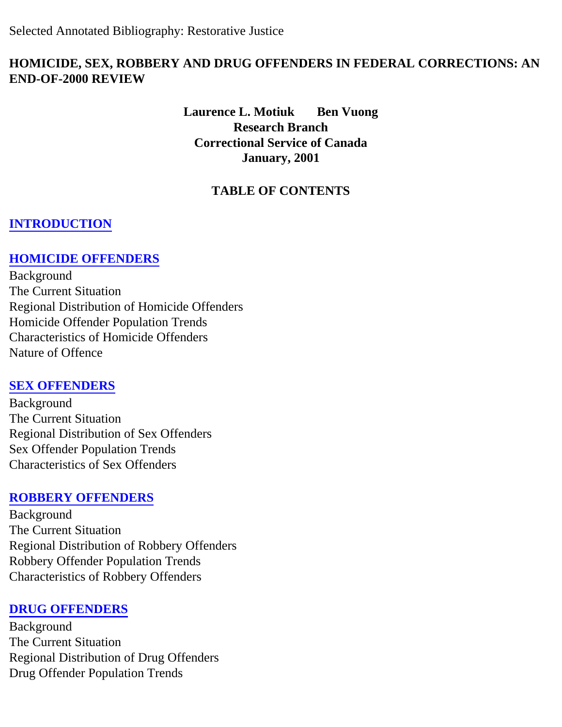### **HOMICIDE, SEX, ROBBERY AND DRUG OFFENDERS IN FEDERAL CORRECTIONS: AN END-OF-2000 REVIEW**

**Laurence L. Motiuk Ben Vuong Research Branch Correctional Service of Canada January, 2001** 

# **TABLE OF CONTENTS**

### **[INTRODUCTION](#page-1-0)**

### **[HOMICIDE OFFENDERS](#page-1-1)**

Background The Current Situation Regional Distribution of Homicide Offenders Homicide Offender Population Trends Characteristics of Homicide Offenders Nature of Offence

#### **[SEX OFFENDERS](#page-4-0)**

Background The Current Situation Regional Distribution of Sex Offenders Sex Offender Population Trends Characteristics of Sex Offenders

#### **[ROBBERY OFFENDERS](#page-6-0)**

Background The Current Situation Regional Distribution of Robbery Offenders Robbery Offender Population Trends Characteristics of Robbery Offenders

#### **[DRUG OFFENDERS](#page-8-0)**

Background The Current Situation Regional Distribution of Drug Offenders Drug Offender Population Trends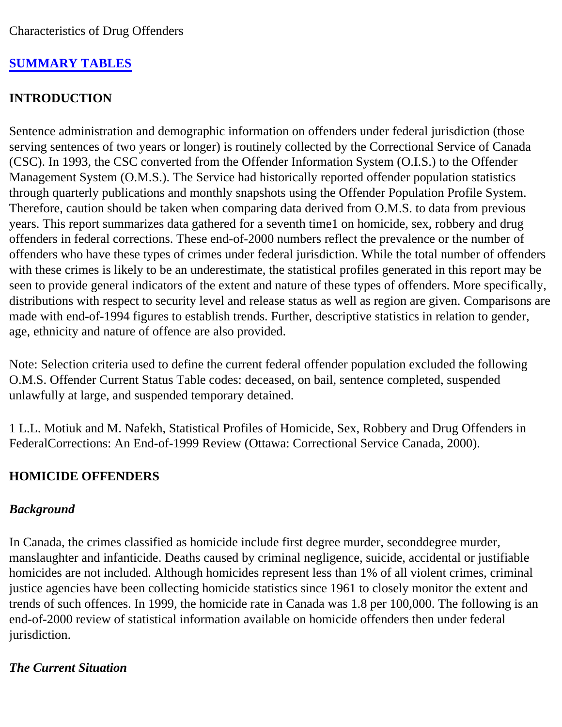# **[SUMMARY TABLES](#page-11-0)**

### <span id="page-1-0"></span>**INTRODUCTION**

Sentence administration and demographic information on offenders under federal jurisdiction (those serving sentences of two years or longer) is routinely collected by the Correctional Service of Canada (CSC). In 1993, the CSC converted from the Offender Information System (O.I.S.) to the Offender Management System (O.M.S.). The Service had historically reported offender population statistics through quarterly publications and monthly snapshots using the Offender Population Profile System. Therefore, caution should be taken when comparing data derived from O.M.S. to data from previous years. This report summarizes data gathered for a seventh time1 on homicide, sex, robbery and drug offenders in federal corrections. These end-of-2000 numbers reflect the prevalence or the number of offenders who have these types of crimes under federal jurisdiction. While the total number of offenders with these crimes is likely to be an underestimate, the statistical profiles generated in this report may be seen to provide general indicators of the extent and nature of these types of offenders. More specifically, distributions with respect to security level and release status as well as region are given. Comparisons are made with end-of-1994 figures to establish trends. Further, descriptive statistics in relation to gender, age, ethnicity and nature of offence are also provided.

Note: Selection criteria used to define the current federal offender population excluded the following O.M.S. Offender Current Status Table codes: deceased, on bail, sentence completed, suspended unlawfully at large, and suspended temporary detained.

1 L.L. Motiuk and M. Nafekh, Statistical Profiles of Homicide, Sex, Robbery and Drug Offenders in FederalCorrections: An End-of-1999 Review (Ottawa: Correctional Service Canada, 2000).

### <span id="page-1-1"></span>**HOMICIDE OFFENDERS**

### *Background*

In Canada, the crimes classified as homicide include first degree murder, seconddegree murder, manslaughter and infanticide. Deaths caused by criminal negligence, suicide, accidental or justifiable homicides are not included. Although homicides represent less than 1% of all violent crimes, criminal justice agencies have been collecting homicide statistics since 1961 to closely monitor the extent and trends of such offences. In 1999, the homicide rate in Canada was 1.8 per 100,000. The following is an end-of-2000 review of statistical information available on homicide offenders then under federal jurisdiction.

### *The Current Situation*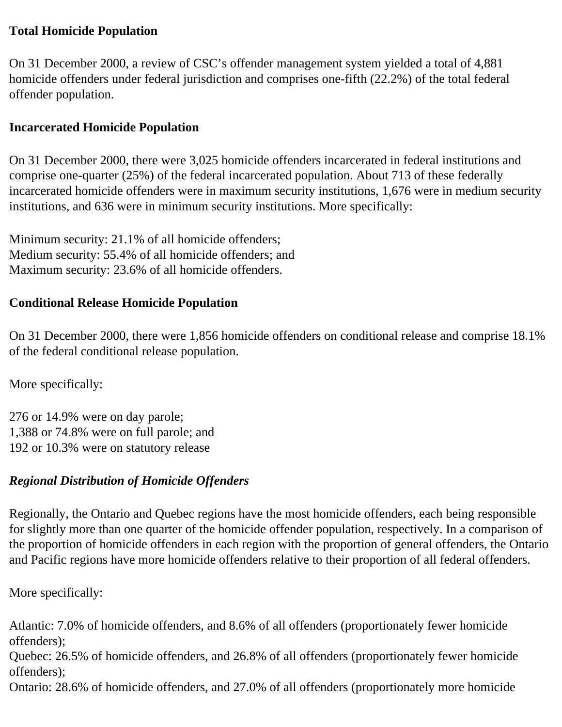#### **Total Homicide Population**

On 31 December 2000, a review of CSC's offender management system yielded a total of 4,881 homicide offenders under federal jurisdiction and comprises one-fifth (22.2%) of the total federal offender population.

#### **Incarcerated Homicide Population**

On 31 December 2000, there were 3,025 homicide offenders incarcerated in federal institutions and comprise one-quarter (25%) of the federal incarcerated population. About 713 of these federally incarcerated homicide offenders were in maximum security institutions, 1,676 were in medium security institutions, and 636 were in minimum security institutions. More specifically:

Minimum security: 21.1% of all homicide offenders; Medium security: 55.4% of all homicide offenders; and Maximum security: 23.6% of all homicide offenders.

### **Conditional Release Homicide Population**

On 31 December 2000, there were 1,856 homicide offenders on conditional release and comprise 18.1% of the federal conditional release population.

More specifically:

276 or 14.9% were on day parole; 1,388 or 74.8% were on full parole; and 192 or 10.3% were on statutory release

### *Regional Distribution of Homicide Offenders*

Regionally, the Ontario and Quebec regions have the most homicide offenders, each being responsible for slightly more than one quarter of the homicide offender population, respectively. In a comparison of the proportion of homicide offenders in each region with the proportion of general offenders, the Ontario and Pacific regions have more homicide offenders relative to their proportion of all federal offenders.

More specifically:

Atlantic: 7.0% of homicide offenders, and 8.6% of all offenders (proportionately fewer homicide offenders);

Quebec: 26.5% of homicide offenders, and 26.8% of all offenders (proportionately fewer homicide offenders);

Ontario: 28.6% of homicide offenders, and 27.0% of all offenders (proportionately more homicide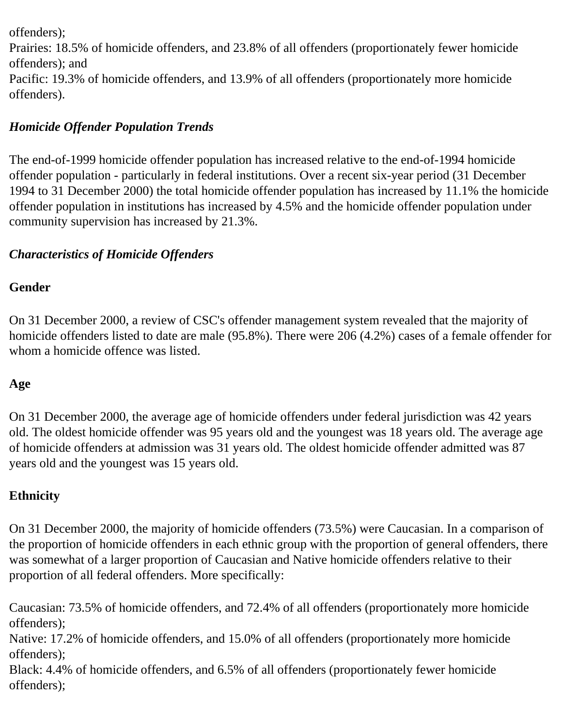offenders);

Prairies: 18.5% of homicide offenders, and 23.8% of all offenders (proportionately fewer homicide offenders); and Pacific: 19.3% of homicide offenders, and 13.9% of all offenders (proportionately more homicide offenders).

# *Homicide Offender Population Trends*

The end-of-1999 homicide offender population has increased relative to the end-of-1994 homicide offender population - particularly in federal institutions. Over a recent six-year period (31 December 1994 to 31 December 2000) the total homicide offender population has increased by 11.1% the homicide offender population in institutions has increased by 4.5% and the homicide offender population under community supervision has increased by 21.3%.

# *Characteristics of Homicide Offenders*

### **Gender**

On 31 December 2000, a review of CSC's offender management system revealed that the majority of homicide offenders listed to date are male (95.8%). There were 206 (4.2%) cases of a female offender for whom a homicide offence was listed.

# **Age**

On 31 December 2000, the average age of homicide offenders under federal jurisdiction was 42 years old. The oldest homicide offender was 95 years old and the youngest was 18 years old. The average age of homicide offenders at admission was 31 years old. The oldest homicide offender admitted was 87 years old and the youngest was 15 years old.

# **Ethnicity**

On 31 December 2000, the majority of homicide offenders (73.5%) were Caucasian. In a comparison of the proportion of homicide offenders in each ethnic group with the proportion of general offenders, there was somewhat of a larger proportion of Caucasian and Native homicide offenders relative to their proportion of all federal offenders. More specifically:

Caucasian: 73.5% of homicide offenders, and 72.4% of all offenders (proportionately more homicide offenders);

Native: 17.2% of homicide offenders, and 15.0% of all offenders (proportionately more homicide offenders);

Black: 4.4% of homicide offenders, and 6.5% of all offenders (proportionately fewer homicide offenders);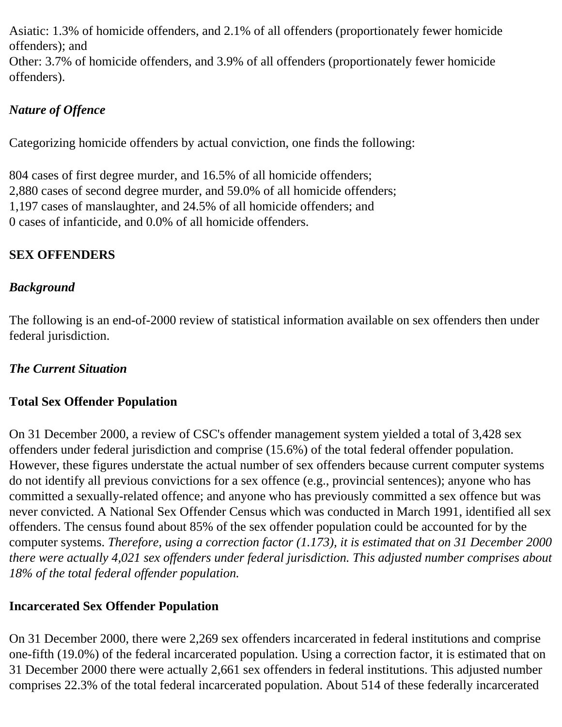Asiatic: 1.3% of homicide offenders, and 2.1% of all offenders (proportionately fewer homicide offenders); and

Other: 3.7% of homicide offenders, and 3.9% of all offenders (proportionately fewer homicide offenders).

# *Nature of Offence*

Categorizing homicide offenders by actual conviction, one finds the following:

804 cases of first degree murder, and 16.5% of all homicide offenders; 2,880 cases of second degree murder, and 59.0% of all homicide offenders; 1,197 cases of manslaughter, and 24.5% of all homicide offenders; and 0 cases of infanticide, and 0.0% of all homicide offenders.

# <span id="page-4-0"></span>**SEX OFFENDERS**

# *Background*

The following is an end-of-2000 review of statistical information available on sex offenders then under federal jurisdiction.

### *The Current Situation*

### **Total Sex Offender Population**

On 31 December 2000, a review of CSC's offender management system yielded a total of 3,428 sex offenders under federal jurisdiction and comprise (15.6%) of the total federal offender population. However, these figures understate the actual number of sex offenders because current computer systems do not identify all previous convictions for a sex offence (e.g., provincial sentences); anyone who has committed a sexually-related offence; and anyone who has previously committed a sex offence but was never convicted. A National Sex Offender Census which was conducted in March 1991, identified all sex offenders. The census found about 85% of the sex offender population could be accounted for by the computer systems. *Therefore, using a correction factor (1.173), it is estimated that on 31 December 2000 there were actually 4,021 sex offenders under federal jurisdiction. This adjusted number comprises about 18% of the total federal offender population.* 

### **Incarcerated Sex Offender Population**

On 31 December 2000, there were 2,269 sex offenders incarcerated in federal institutions and comprise one-fifth (19.0%) of the federal incarcerated population. Using a correction factor, it is estimated that on 31 December 2000 there were actually 2,661 sex offenders in federal institutions. This adjusted number comprises 22.3% of the total federal incarcerated population. About 514 of these federally incarcerated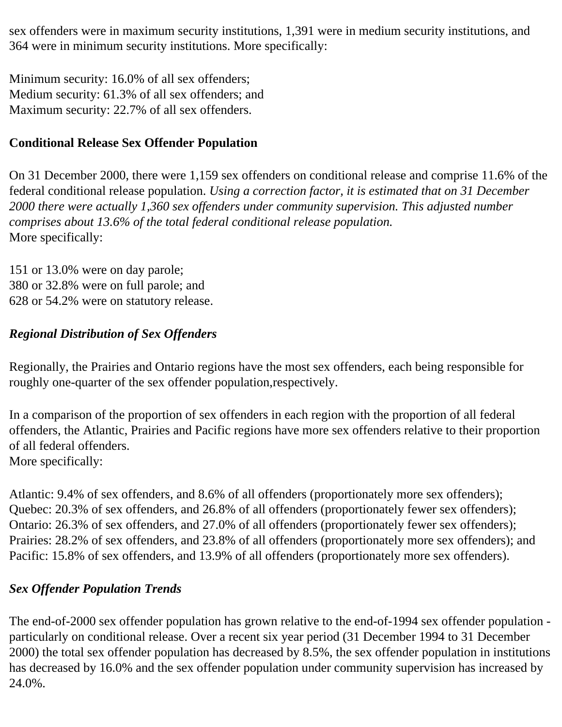sex offenders were in maximum security institutions, 1,391 were in medium security institutions, and 364 were in minimum security institutions. More specifically:

Minimum security: 16.0% of all sex offenders; Medium security: 61.3% of all sex offenders; and Maximum security: 22.7% of all sex offenders.

### **Conditional Release Sex Offender Population**

On 31 December 2000, there were 1,159 sex offenders on conditional release and comprise 11.6% of the federal conditional release population. *Using a correction factor, it is estimated that on 31 December 2000 there were actually 1,360 sex offenders under community supervision. This adjusted number comprises about 13.6% of the total federal conditional release population.*  More specifically:

151 or 13.0% were on day parole; 380 or 32.8% were on full parole; and 628 or 54.2% were on statutory release.

#### *Regional Distribution of Sex Offenders*

Regionally, the Prairies and Ontario regions have the most sex offenders, each being responsible for roughly one-quarter of the sex offender population,respectively.

In a comparison of the proportion of sex offenders in each region with the proportion of all federal offenders, the Atlantic, Prairies and Pacific regions have more sex offenders relative to their proportion of all federal offenders. More specifically:

Atlantic: 9.4% of sex offenders, and 8.6% of all offenders (proportionately more sex offenders); Quebec: 20.3% of sex offenders, and 26.8% of all offenders (proportionately fewer sex offenders); Ontario: 26.3% of sex offenders, and 27.0% of all offenders (proportionately fewer sex offenders); Prairies: 28.2% of sex offenders, and 23.8% of all offenders (proportionately more sex offenders); and Pacific: 15.8% of sex offenders, and 13.9% of all offenders (proportionately more sex offenders).

### *Sex Offender Population Trends*

The end-of-2000 sex offender population has grown relative to the end-of-1994 sex offender population particularly on conditional release. Over a recent six year period (31 December 1994 to 31 December 2000) the total sex offender population has decreased by 8.5%, the sex offender population in institutions has decreased by 16.0% and the sex offender population under community supervision has increased by 24.0%.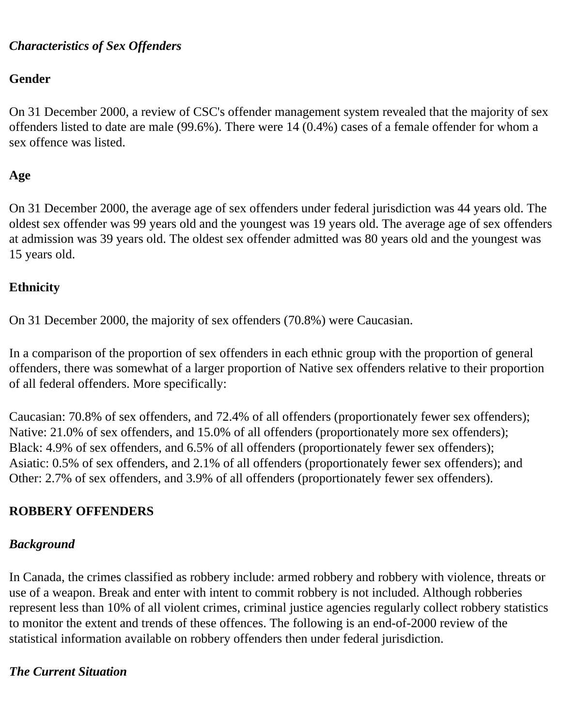#### *Characteristics of Sex Offenders*

#### **Gender**

On 31 December 2000, a review of CSC's offender management system revealed that the majority of sex offenders listed to date are male (99.6%). There were 14 (0.4%) cases of a female offender for whom a sex offence was listed.

### **Age**

On 31 December 2000, the average age of sex offenders under federal jurisdiction was 44 years old. The oldest sex offender was 99 years old and the youngest was 19 years old. The average age of sex offenders at admission was 39 years old. The oldest sex offender admitted was 80 years old and the youngest was 15 years old.

### **Ethnicity**

On 31 December 2000, the majority of sex offenders (70.8%) were Caucasian.

In a comparison of the proportion of sex offenders in each ethnic group with the proportion of general offenders, there was somewhat of a larger proportion of Native sex offenders relative to their proportion of all federal offenders. More specifically:

Caucasian: 70.8% of sex offenders, and 72.4% of all offenders (proportionately fewer sex offenders); Native: 21.0% of sex offenders, and 15.0% of all offenders (proportionately more sex offenders); Black: 4.9% of sex offenders, and 6.5% of all offenders (proportionately fewer sex offenders); Asiatic: 0.5% of sex offenders, and 2.1% of all offenders (proportionately fewer sex offenders); and Other: 2.7% of sex offenders, and 3.9% of all offenders (proportionately fewer sex offenders).

### <span id="page-6-0"></span>**ROBBERY OFFENDERS**

### *Background*

In Canada, the crimes classified as robbery include: armed robbery and robbery with violence, threats or use of a weapon. Break and enter with intent to commit robbery is not included. Although robberies represent less than 10% of all violent crimes, criminal justice agencies regularly collect robbery statistics to monitor the extent and trends of these offences. The following is an end-of-2000 review of the statistical information available on robbery offenders then under federal jurisdiction.

#### *The Current Situation*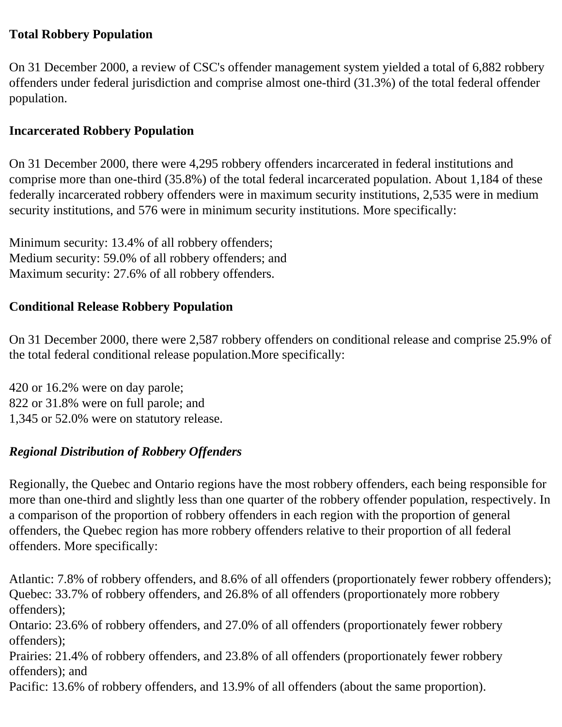### **Total Robbery Population**

On 31 December 2000, a review of CSC's offender management system yielded a total of 6,882 robbery offenders under federal jurisdiction and comprise almost one-third (31.3%) of the total federal offender population.

### **Incarcerated Robbery Population**

On 31 December 2000, there were 4,295 robbery offenders incarcerated in federal institutions and comprise more than one-third (35.8%) of the total federal incarcerated population. About 1,184 of these federally incarcerated robbery offenders were in maximum security institutions, 2,535 were in medium security institutions, and 576 were in minimum security institutions. More specifically:

Minimum security: 13.4% of all robbery offenders; Medium security: 59.0% of all robbery offenders; and Maximum security: 27.6% of all robbery offenders.

#### **Conditional Release Robbery Population**

On 31 December 2000, there were 2,587 robbery offenders on conditional release and comprise 25.9% of the total federal conditional release population.More specifically:

420 or 16.2% were on day parole; 822 or 31.8% were on full parole; and 1,345 or 52.0% were on statutory release.

### *Regional Distribution of Robbery Offenders*

Regionally, the Quebec and Ontario regions have the most robbery offenders, each being responsible for more than one-third and slightly less than one quarter of the robbery offender population, respectively. In a comparison of the proportion of robbery offenders in each region with the proportion of general offenders, the Quebec region has more robbery offenders relative to their proportion of all federal offenders. More specifically:

Atlantic: 7.8% of robbery offenders, and 8.6% of all offenders (proportionately fewer robbery offenders); Quebec: 33.7% of robbery offenders, and 26.8% of all offenders (proportionately more robbery offenders);

Ontario: 23.6% of robbery offenders, and 27.0% of all offenders (proportionately fewer robbery offenders);

Prairies: 21.4% of robbery offenders, and 23.8% of all offenders (proportionately fewer robbery offenders); and

Pacific: 13.6% of robbery offenders, and 13.9% of all offenders (about the same proportion).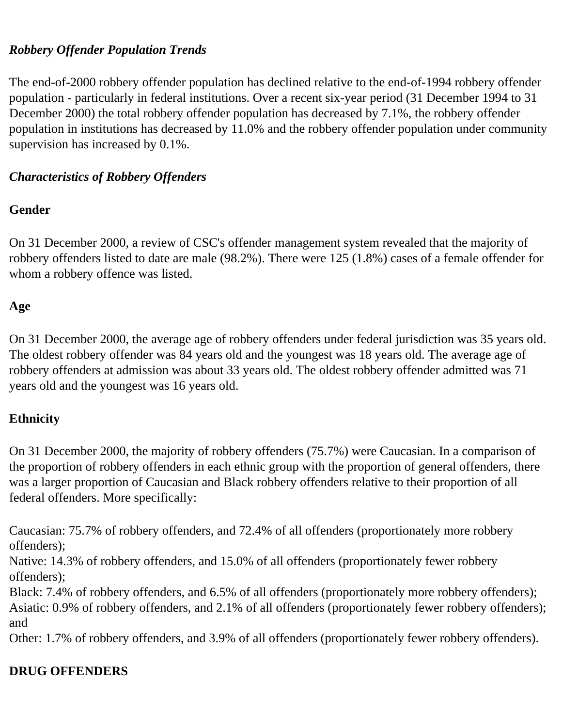### *Robbery Offender Population Trends*

The end-of-2000 robbery offender population has declined relative to the end-of-1994 robbery offender population - particularly in federal institutions. Over a recent six-year period (31 December 1994 to 31 December 2000) the total robbery offender population has decreased by 7.1%, the robbery offender population in institutions has decreased by 11.0% and the robbery offender population under community supervision has increased by 0.1%.

### *Characteristics of Robbery Offenders*

### **Gender**

On 31 December 2000, a review of CSC's offender management system revealed that the majority of robbery offenders listed to date are male (98.2%). There were 125 (1.8%) cases of a female offender for whom a robbery offence was listed.

# **Age**

On 31 December 2000, the average age of robbery offenders under federal jurisdiction was 35 years old. The oldest robbery offender was 84 years old and the youngest was 18 years old. The average age of robbery offenders at admission was about 33 years old. The oldest robbery offender admitted was 71 years old and the youngest was 16 years old.

# **Ethnicity**

On 31 December 2000, the majority of robbery offenders (75.7%) were Caucasian. In a comparison of the proportion of robbery offenders in each ethnic group with the proportion of general offenders, there was a larger proportion of Caucasian and Black robbery offenders relative to their proportion of all federal offenders. More specifically:

Caucasian: 75.7% of robbery offenders, and 72.4% of all offenders (proportionately more robbery offenders);

Native: 14.3% of robbery offenders, and 15.0% of all offenders (proportionately fewer robbery offenders);

Black: 7.4% of robbery offenders, and 6.5% of all offenders (proportionately more robbery offenders); Asiatic: 0.9% of robbery offenders, and 2.1% of all offenders (proportionately fewer robbery offenders); and

Other: 1.7% of robbery offenders, and 3.9% of all offenders (proportionately fewer robbery offenders).

# <span id="page-8-0"></span>**DRUG OFFENDERS**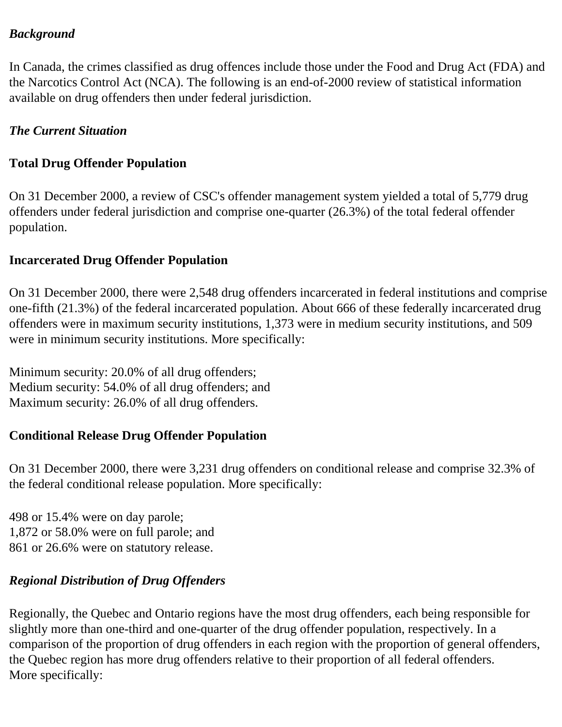#### *Background*

In Canada, the crimes classified as drug offences include those under the Food and Drug Act (FDA) and the Narcotics Control Act (NCA). The following is an end-of-2000 review of statistical information available on drug offenders then under federal jurisdiction.

### *The Current Situation*

### **Total Drug Offender Population**

On 31 December 2000, a review of CSC's offender management system yielded a total of 5,779 drug offenders under federal jurisdiction and comprise one-quarter (26.3%) of the total federal offender population.

#### **Incarcerated Drug Offender Population**

On 31 December 2000, there were 2,548 drug offenders incarcerated in federal institutions and comprise one-fifth (21.3%) of the federal incarcerated population. About 666 of these federally incarcerated drug offenders were in maximum security institutions, 1,373 were in medium security institutions, and 509 were in minimum security institutions. More specifically:

Minimum security: 20.0% of all drug offenders; Medium security: 54.0% of all drug offenders; and Maximum security: 26.0% of all drug offenders.

# **Conditional Release Drug Offender Population**

On 31 December 2000, there were 3,231 drug offenders on conditional release and comprise 32.3% of the federal conditional release population. More specifically:

498 or 15.4% were on day parole; 1,872 or 58.0% were on full parole; and 861 or 26.6% were on statutory release.

# *Regional Distribution of Drug Offenders*

Regionally, the Quebec and Ontario regions have the most drug offenders, each being responsible for slightly more than one-third and one-quarter of the drug offender population, respectively. In a comparison of the proportion of drug offenders in each region with the proportion of general offenders, the Quebec region has more drug offenders relative to their proportion of all federal offenders. More specifically: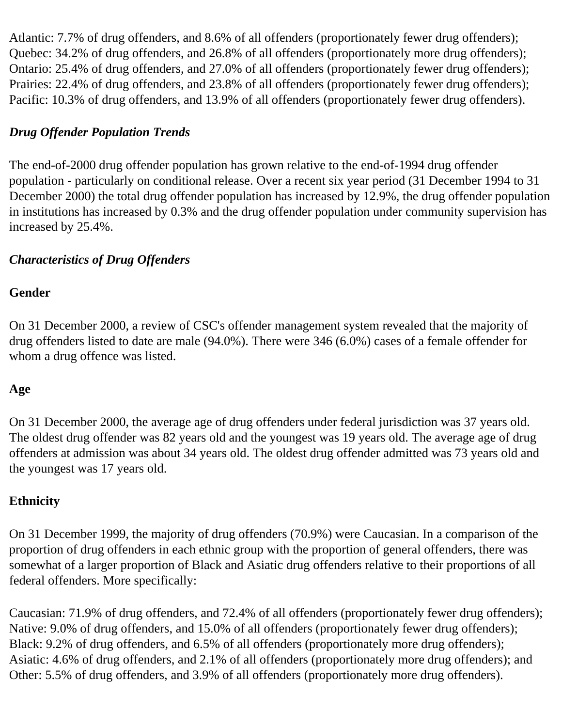Atlantic: 7.7% of drug offenders, and 8.6% of all offenders (proportionately fewer drug offenders); Quebec: 34.2% of drug offenders, and 26.8% of all offenders (proportionately more drug offenders); Ontario: 25.4% of drug offenders, and 27.0% of all offenders (proportionately fewer drug offenders); Prairies: 22.4% of drug offenders, and 23.8% of all offenders (proportionately fewer drug offenders); Pacific: 10.3% of drug offenders, and 13.9% of all offenders (proportionately fewer drug offenders).

### *Drug Offender Population Trends*

The end-of-2000 drug offender population has grown relative to the end-of-1994 drug offender population - particularly on conditional release. Over a recent six year period (31 December 1994 to 31 December 2000) the total drug offender population has increased by 12.9%, the drug offender population in institutions has increased by 0.3% and the drug offender population under community supervision has increased by 25.4%.

### *Characteristics of Drug Offenders*

#### **Gender**

On 31 December 2000, a review of CSC's offender management system revealed that the majority of drug offenders listed to date are male (94.0%). There were 346 (6.0%) cases of a female offender for whom a drug offence was listed.

#### **Age**

On 31 December 2000, the average age of drug offenders under federal jurisdiction was 37 years old. The oldest drug offender was 82 years old and the youngest was 19 years old. The average age of drug offenders at admission was about 34 years old. The oldest drug offender admitted was 73 years old and the youngest was 17 years old.

#### **Ethnicity**

On 31 December 1999, the majority of drug offenders (70.9%) were Caucasian. In a comparison of the proportion of drug offenders in each ethnic group with the proportion of general offenders, there was somewhat of a larger proportion of Black and Asiatic drug offenders relative to their proportions of all federal offenders. More specifically:

Caucasian: 71.9% of drug offenders, and 72.4% of all offenders (proportionately fewer drug offenders); Native: 9.0% of drug offenders, and 15.0% of all offenders (proportionately fewer drug offenders); Black: 9.2% of drug offenders, and 6.5% of all offenders (proportionately more drug offenders); Asiatic: 4.6% of drug offenders, and 2.1% of all offenders (proportionately more drug offenders); and Other: 5.5% of drug offenders, and 3.9% of all offenders (proportionately more drug offenders).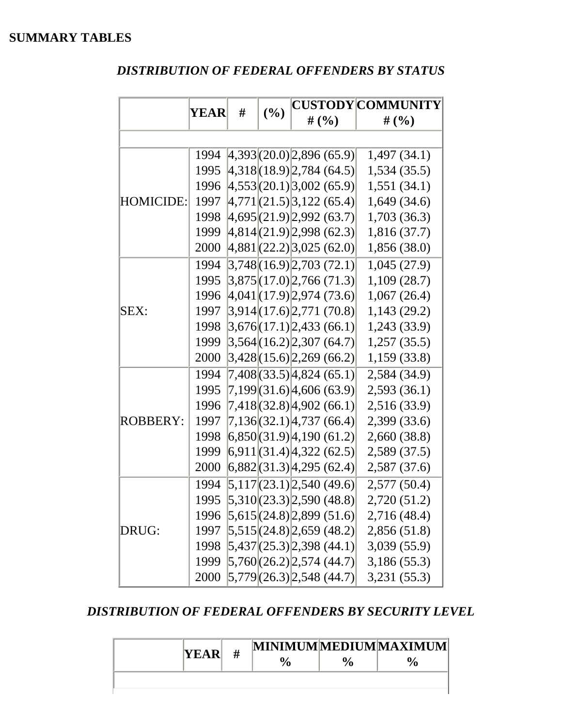### <span id="page-11-0"></span>*DISTRIBUTION OF FEDERAL OFFENDERS BY STATUS*

|                  |      | # |     |                                                                                 | <b>CUSTODY COMMUNITY</b> |
|------------------|------|---|-----|---------------------------------------------------------------------------------|--------------------------|
|                  | YEAR |   | (%) | # $(%$                                                                          | # $(\% )$                |
|                  |      |   |     |                                                                                 |                          |
|                  | 1994 |   |     | [4,393](20.0)[2,896(65.9)]                                                      | 1,497(34.1)              |
|                  | 1995 |   |     | 4,318(18.9) 2,784(64.5)                                                         | 1,534(35.5)              |
|                  | 1996 |   |     | $ 4,553 $ (20.1) 3,002 (65.9)                                                   | 1,551(34.1)              |
| <b>HOMICIDE:</b> | 1997 |   |     | $\left[4,771\right]\left[21.5\right]\left[3,122\right]\left(65.4\right)\right]$ | 1,649(34.6)              |
|                  | 1998 |   |     | 4,695(21.9) 2,992(63.7)                                                         | 1,703(36.3)              |
|                  | 1999 |   |     | $ 4,814 $ (21.9) 2,998 (62.3)                                                   | 1,816(37.7)              |
|                  | 2000 |   |     | $ 4,881 $ (22.2) 3,025 (62.0)                                                   | 1,856 (38.0)             |
|                  | 1994 |   |     | 3,748  (16.9)  2,703 (72.1)                                                     | 1,045(27.9)              |
|                  | 1995 |   |     | $ 3,875 $ (17.0) $ 2,766$ (71.3)                                                | 1,109(28.7)              |
|                  | 1996 |   |     | $ 4,041 $ (17.9) 2,974 (73.6)                                                   | 1,067(26.4)              |
| SEX:             | 1997 |   |     | 3,914(17.6)2,771(70.8)                                                          | 1,143(29.2)              |
|                  | 1998 |   |     | 3,676  (17.1)   2,433(66.1)                                                     | 1,243 (33.9)             |
|                  | 1999 |   |     | 3,564  (16.2)  2,307 (64.7)                                                     | 1,257(35.5)              |
|                  | 2000 |   |     | 3,428(15.6)2,269(66.2)                                                          | 1,159(33.8)              |
|                  | 1994 |   |     | 7,408(33.5) 4,824(65.1)                                                         | 2,584 (34.9)             |
|                  | 1995 |   |     | 7,199 (31.6) 4,606 (63.9)                                                       | 2,593(36.1)              |
|                  | 1996 |   |     | 7,418(32.8) 4,902 (66.1)                                                        | 2,516 (33.9)             |
| <b>ROBBERY:</b>  | 1997 |   |     | 7,136 (32.1) 4,737 (66.4)                                                       | 2,399 (33.6)             |
|                  | 1998 |   |     | (6,850(31.9))4,190(61.2))                                                       | 2,660 (38.8)             |
|                  | 1999 |   |     | 6,911(31.4)4,322(62.5)                                                          | 2,589 (37.5)             |
|                  | 2000 |   |     | 6,882(31.3)4,295(62.4)                                                          | 2,587(37.6)              |
|                  | 1994 |   |     | $5,117(23.1)$ 2,540 (49.6)                                                      | 2,577 (50.4)             |
|                  | 1995 |   |     | 5,310(23.3)2,590(48.8)                                                          | 2,720(51.2)              |
| DRUG:            | 1996 |   |     | $ 5,615 $ (24.8) 2,899 (51.6)                                                   | 2,716 (48.4)             |
|                  | 1997 |   |     | $ 5,515 $ (24.8) 2,659 (48.2)                                                   | 2,856(51.8)              |
|                  | 1998 |   |     | $ 5,437 $ (25.3) 2,398 (44.1)                                                   | 3,039(55.9)              |
|                  | 1999 |   |     | $ 5,760 $ $(26.2) 2,574$ $(44.7) $                                              | 3,186 (55.3)             |
|                  | 2000 |   |     | 5,779(26.3) 2,548(44.7)                                                         | 3,231(55.3)              |

#### *DISTRIBUTION OF FEDERAL OFFENDERS BY SECURITY LEVEL*

| YEAR | # |  | MINIMUMMEDIUMMAXIMUM |
|------|---|--|----------------------|
|      |   |  |                      |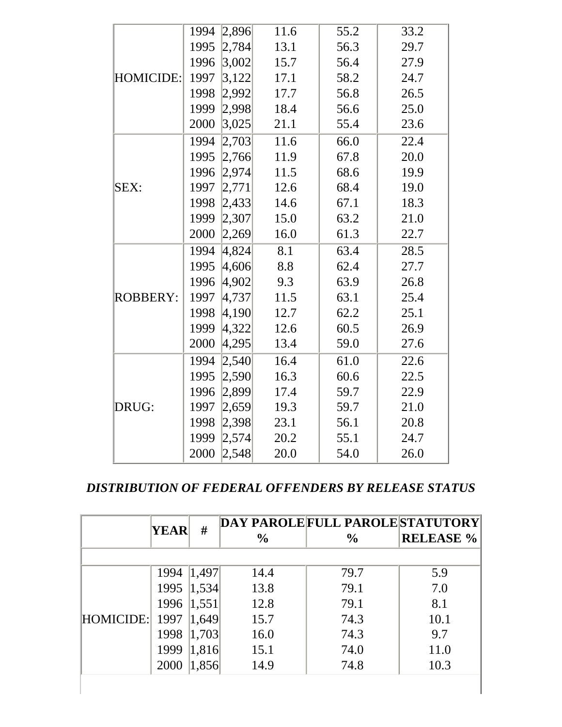|                  | 1994 | 2,896   | 11.6 | 55.2 | 33.2 |
|------------------|------|---------|------|------|------|
|                  | 1995 | 2,784   | 13.1 | 56.3 | 29.7 |
|                  | 1996 | 3,002   | 15.7 | 56.4 | 27.9 |
| <b>HOMICIDE:</b> | 1997 | 3,122   | 17.1 | 58.2 | 24.7 |
|                  | 1998 | 2,992   | 17.7 | 56.8 | 26.5 |
|                  | 1999 | [2,998] | 18.4 | 56.6 | 25.0 |
|                  | 2000 | 3,025   | 21.1 | 55.4 | 23.6 |
|                  | 1994 | 2,703   | 11.6 | 66.0 | 22.4 |
|                  | 1995 | 2,766   | 11.9 | 67.8 | 20.0 |
|                  | 1996 | 2,974   | 11.5 | 68.6 | 19.9 |
| SEX:             | 1997 | 2,771   | 12.6 | 68.4 | 19.0 |
|                  | 1998 | 2,433   | 14.6 | 67.1 | 18.3 |
|                  | 1999 | 2,307   | 15.0 | 63.2 | 21.0 |
|                  | 2000 | 2,269   | 16.0 | 61.3 | 22.7 |
|                  | 1994 | 4,824   | 8.1  | 63.4 | 28.5 |
|                  | 1995 | 4,606   | 8.8  | 62.4 | 27.7 |
|                  | 1996 | 4,902   | 9.3  | 63.9 | 26.8 |
| <b>ROBBERY:</b>  | 1997 | 4,737   | 11.5 | 63.1 | 25.4 |
|                  | 1998 | 4,190   | 12.7 | 62.2 | 25.1 |
|                  | 1999 | 4,322   | 12.6 | 60.5 | 26.9 |
|                  | 2000 | 4,295   | 13.4 | 59.0 | 27.6 |
|                  | 1994 | 2,540   | 16.4 | 61.0 | 22.6 |
|                  | 1995 | 2,590   | 16.3 | 60.6 | 22.5 |
|                  | 1996 | 2,899   | 17.4 | 59.7 | 22.9 |
| DRUG:            | 1997 | 2,659   | 19.3 | 59.7 | 21.0 |
|                  | 1998 | 2,398   | 23.1 | 56.1 | 20.8 |
|                  | 1999 | 2,574   | 20.2 | 55.1 | 24.7 |
|                  | 2000 | 2,548   | 20.0 | 54.0 | 26.0 |

#### *DISTRIBUTION OF FEDERAL OFFENDERS BY RELEASE STATUS*

|           | <b>YEAR</b> | #     | $\frac{0}{0}$ | DAY PAROLE FULL PAROLE STATUTORY<br>$\frac{6}{6}$ | <b>RELEASE %</b> |
|-----------|-------------|-------|---------------|---------------------------------------------------|------------------|
|           |             |       |               |                                                   |                  |
|           | 1994        | 1,497 | 14.4          | 79.7                                              | 5.9              |
|           | 1995        | 1,534 | 13.8          | 79.1                                              | 7.0              |
|           | 1996 1,551  |       | 12.8          | 79.1                                              | 8.1              |
| HOMICIDE: | 1997        | 1,649 | 15.7          | 74.3                                              | 10.1             |
|           | 1998        | 1,703 | 16.0          | 74.3                                              | 9.7              |
|           | 1999        | 1,816 | 15.1          | 74.0                                              | 11.0             |
|           | 2000        | 1,856 | 14.9          | 74.8                                              | 10.3             |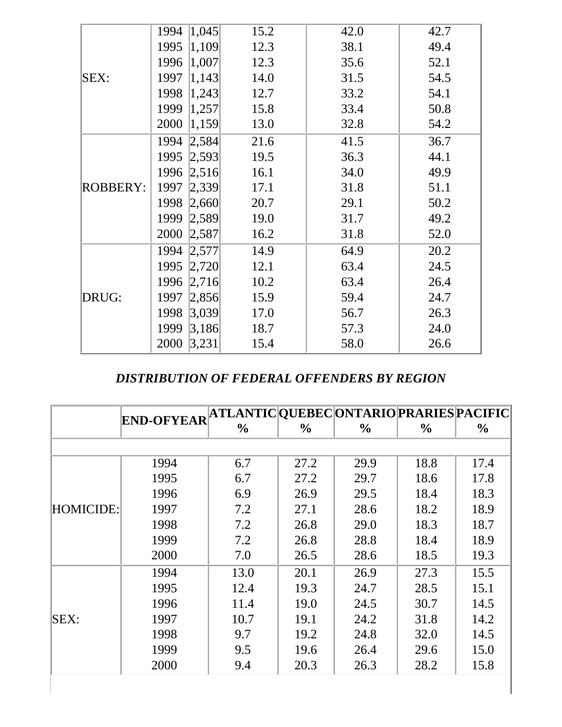|          | 1,045 <br>1994 | 15.2 | 42.0 | 42.7 |
|----------|----------------|------|------|------|
|          | 1,109 <br>1995 | 12.3 | 38.1 | 49.4 |
|          | 1,007 <br>1996 | 12.3 | 35.6 | 52.1 |
| SEX:     | 1,143 <br>1997 | 14.0 | 31.5 | 54.5 |
|          | 1,243 <br>1998 | 12.7 | 33.2 | 54.1 |
|          | 1999<br> 1,257 | 15.8 | 33.4 | 50.8 |
|          | 2000<br> 1,159 | 13.0 | 32.8 | 54.2 |
|          | 1994<br> 2,584 | 21.6 | 41.5 | 36.7 |
|          | 1995<br> 2,593 | 19.5 | 36.3 | 44.1 |
|          | 1996<br> 2,516 | 16.1 | 34.0 | 49.9 |
| ROBBERY: | 1997<br> 2,339 | 17.1 | 31.8 | 51.1 |
|          | 1998<br> 2,660 | 20.7 | 29.1 | 50.2 |
|          | 1999<br> 2,589 | 19.0 | 31.7 | 49.2 |
|          | 2000<br> 2,587 | 16.2 | 31.8 | 52.0 |
|          | 1994<br> 2,577 | 14.9 | 64.9 | 20.2 |
|          | 1995<br> 2,720 | 12.1 | 63.4 | 24.5 |
|          | 1996<br> 2,716 | 10.2 | 63.4 | 26.4 |
| DRUG:    | 1997<br> 2,856 | 15.9 | 59.4 | 24.7 |
|          | 1998<br> 3,039 | 17.0 | 56.7 | 26.3 |
|          | 1999<br>3,186  | 18.7 | 57.3 | 24.0 |
|          | 2000<br>3,231  | 15.4 | 58.0 | 26.6 |

#### *DISTRIBUTION OF FEDERAL OFFENDERS BY REGION*

|             |                   | ATLANTIC  QUEBEC  ONTARIO  PRARIES  PACIFIC |               |               |               |               |
|-------------|-------------------|---------------------------------------------|---------------|---------------|---------------|---------------|
|             | <b>END-OFYEAR</b> | $\%$                                        | $\frac{0}{0}$ | $\frac{6}{9}$ | $\frac{0}{0}$ | $\frac{6}{9}$ |
|             |                   |                                             |               |               |               |               |
|             | 1994              | 6.7                                         | 27.2          | 29.9          | 18.8          | 17.4          |
|             | 1995              | 6.7                                         | 27.2          | 29.7          | 18.6          | 17.8          |
|             | 1996              | 6.9                                         | 26.9          | 29.5          | 18.4          | 18.3          |
| HOMICIDE:   | 1997              | 7.2                                         | 27.1          | 28.6          | 18.2          | 18.9          |
|             | 1998              | 7.2                                         | 26.8          | 29.0          | 18.3          | 18.7          |
|             | 1999              | 7.2                                         | 26.8          | 28.8          | 18.4          | 18.9          |
|             | 2000              | 7.0                                         | 26.5          | 28.6          | 18.5          | 19.3          |
|             | 1994              | 13.0                                        | 20.1          | 26.9          | 27.3          | 15.5          |
|             | 1995              | 12.4                                        | 19.3          | 24.7          | 28.5          | 15.1          |
|             | 1996              | 11.4                                        | 19.0          | 24.5          | 30.7          | 14.5          |
| <b>SEX:</b> | 1997              | 10.7                                        | 19.1          | 24.2          | 31.8          | 14.2          |
|             | 1998              | 9.7                                         | 19.2          | 24.8          | 32.0          | 14.5          |
|             | 1999              | 9.5                                         | 19.6          | 26.4          | 29.6          | 15.0          |
|             | 2000              | 9.4                                         | 20.3          | 26.3          | 28.2          | 15.8          |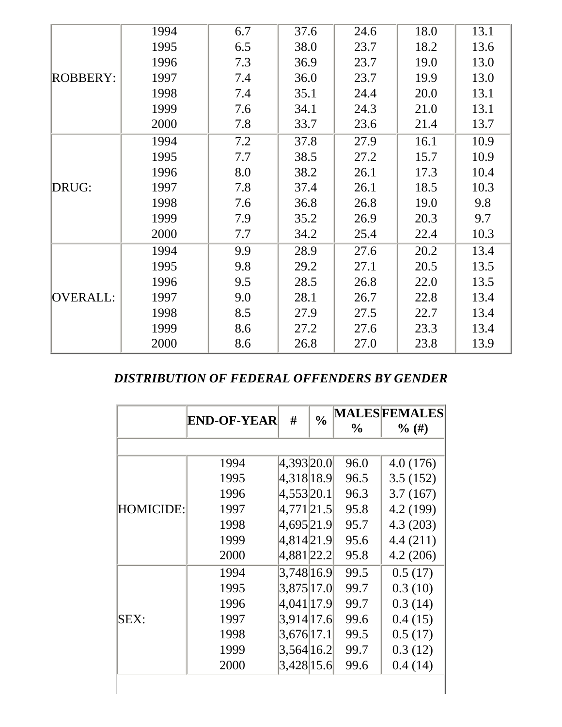|                 | 1994 | 6.7 | 37.6 | 24.6 | 18.0 | 13.1 |
|-----------------|------|-----|------|------|------|------|
|                 | 1995 | 6.5 | 38.0 | 23.7 | 18.2 | 13.6 |
|                 | 1996 | 7.3 | 36.9 | 23.7 | 19.0 | 13.0 |
| <b>ROBBERY:</b> | 1997 | 7.4 | 36.0 | 23.7 | 19.9 | 13.0 |
|                 | 1998 | 7.4 | 35.1 | 24.4 | 20.0 | 13.1 |
|                 | 1999 | 7.6 | 34.1 | 24.3 | 21.0 | 13.1 |
|                 | 2000 | 7.8 | 33.7 | 23.6 | 21.4 | 13.7 |
|                 | 1994 | 7.2 | 37.8 | 27.9 | 16.1 | 10.9 |
|                 | 1995 | 7.7 | 38.5 | 27.2 | 15.7 | 10.9 |
|                 | 1996 | 8.0 | 38.2 | 26.1 | 17.3 | 10.4 |
| DRUG:           | 1997 | 7.8 | 37.4 | 26.1 | 18.5 | 10.3 |
|                 | 1998 | 7.6 | 36.8 | 26.8 | 19.0 | 9.8  |
|                 | 1999 | 7.9 | 35.2 | 26.9 | 20.3 | 9.7  |
|                 | 2000 | 7.7 | 34.2 | 25.4 | 22.4 | 10.3 |
|                 | 1994 | 9.9 | 28.9 | 27.6 | 20.2 | 13.4 |
|                 | 1995 | 9.8 | 29.2 | 27.1 | 20.5 | 13.5 |
|                 | 1996 | 9.5 | 28.5 | 26.8 | 22.0 | 13.5 |
| OVERALL:        | 1997 | 9.0 | 28.1 | 26.7 | 22.8 | 13.4 |
|                 | 1998 | 8.5 | 27.9 | 27.5 | 22.7 | 13.4 |
|                 | 1999 | 8.6 | 27.2 | 27.6 | 23.3 | 13.4 |
|                 | 2000 | 8.6 | 26.8 | 27.0 | 23.8 | 13.9 |

#### *DISTRIBUTION OF FEDERAL OFFENDERS BY GENDER*

|                  |                    | #             | $\frac{0}{0}$ |               | <b>MALESFEMALES</b> |
|------------------|--------------------|---------------|---------------|---------------|---------------------|
|                  | <b>END-OF-YEAR</b> |               |               | $\frac{6}{9}$ | $\%$ (#)            |
|                  |                    |               |               |               |                     |
|                  | 1994               | 4,393 20.0    |               | 96.0          | 4.0(176)            |
|                  | 1995               | 4,318 18.9    |               | 96.5          | 3.5(152)            |
|                  | 1996               | 4,553 20.1    |               | 96.3          | 3.7(167)            |
| <b>HOMICIDE:</b> | 1997               | 4,771 21.5    |               | 95.8          | 4.2 (199)           |
|                  | 1998               | 4,695 21.9    |               | 95.7          | 4.3(203)            |
|                  | 1999               | 4,814 21.9    |               | 95.6          | 4.4(211)            |
|                  | 2000               | 4,881 22.2    |               | 95.8          | 4.2(206)            |
|                  | 1994               | 3,748 16.9    |               | 99.5          | 0.5(17)             |
|                  | 1995               | 3,875 17.0    |               | 99.7          | 0.3(10)             |
|                  | 1996               | 4,041 17.9    |               | 99.7          | 0.3(14)             |
| SEX:             | 1997               | 3,914 17.6    |               | 99.6          | 0.4(15)             |
|                  | 1998               | $3,676$  17.1 |               | 99.5          | 0.5(17)             |
|                  | 1999               | 3,564 16.2    |               | 99.7          | 0.3(12)             |
|                  | 2000               | $3,428$  15.6 |               | 99.6          | 0.4(14)             |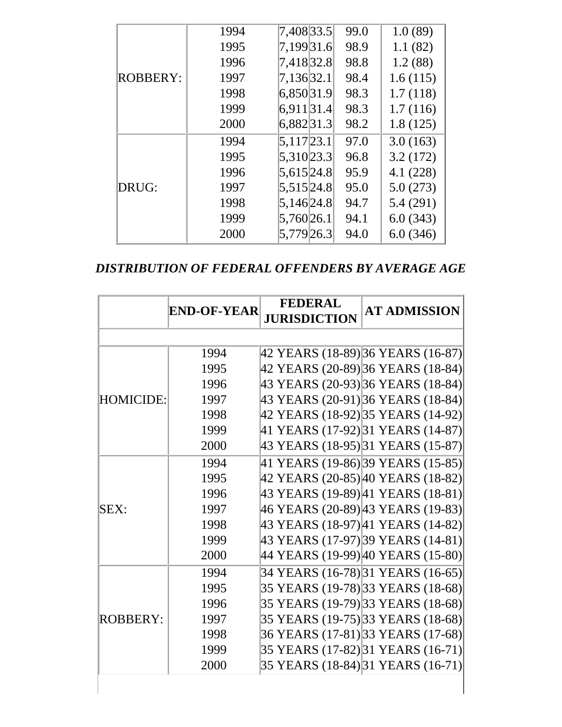|                 | 1994 | 7,408 33.5    | 99.0 | 1.0(89)  |
|-----------------|------|---------------|------|----------|
|                 | 1995 | 7,199 31.6    | 98.9 | 1.1(82)  |
|                 | 1996 | 7,418 32.8    | 98.8 | 1.2(88)  |
| <b>ROBBERY:</b> | 1997 | 7,136 32.1    | 98.4 | 1.6(115) |
|                 | 1998 | 6,850 31.9    | 98.3 | 1.7(118) |
|                 | 1999 | 6,911 31.4    | 98.3 | 1.7(116) |
|                 | 2000 | 6,882 31.3    | 98.2 | 1.8(125) |
|                 | 1994 | $5,117$  23.1 | 97.0 | 3.0(163) |
|                 | 1995 | 5,310 23.3    | 96.8 | 3.2(172) |
|                 | 1996 | 5,615 24.8    | 95.9 | 4.1(228) |
| DRUG:           | 1997 | 5,515 24.8    | 95.0 | 5.0(273) |
|                 | 1998 | 5,146 24.8    | 94.7 | 5.4(291) |
|                 | 1999 | 5,760 26.1    | 94.1 | 6.0(343) |
|                 | 2000 | 5,779 26.3    | 94.0 | 6.0(346) |

*DISTRIBUTION OF FEDERAL OFFENDERS BY AVERAGE AGE* 

|                  | <b>END-OF-YEAR</b> | <b>FEDERAL</b><br><b>JURISDICTION</b> | <b>AT ADMISSION</b>               |
|------------------|--------------------|---------------------------------------|-----------------------------------|
|                  |                    |                                       |                                   |
|                  | 1994               |                                       | 42 YEARS (18-89) 36 YEARS (16-87) |
|                  | 1995               |                                       | 42 YEARS (20-89) 36 YEARS (18-84) |
|                  | 1996               |                                       | 43 YEARS (20-93) 36 YEARS (18-84) |
| <b>HOMICIDE:</b> | 1997               |                                       | 43 YEARS (20-91) 36 YEARS (18-84) |
|                  | 1998               |                                       | 42 YEARS (18-92) 35 YEARS (14-92) |
|                  | 1999               |                                       | 41 YEARS (17-92) 31 YEARS (14-87) |
|                  | 2000               |                                       | 43 YEARS (18-95) 31 YEARS (15-87) |
|                  | 1994               |                                       | 41 YEARS (19-86) 39 YEARS (15-85) |
|                  | 1995               |                                       | 42 YEARS (20-85) 40 YEARS (18-82) |
|                  | 1996               |                                       | 43 YEARS (19-89) 41 YEARS (18-81) |
| SEX:             | 1997               |                                       | 46 YEARS (20-89) 43 YEARS (19-83) |
|                  | 1998               |                                       | 43 YEARS (18-97) 41 YEARS (14-82) |
|                  | 1999               |                                       | 43 YEARS (17-97) 39 YEARS (14-81) |
|                  | 2000               |                                       | 44 YEARS (19-99) 40 YEARS (15-80) |
|                  | 1994               |                                       | 34 YEARS (16-78) 31 YEARS (16-65) |
|                  | 1995               |                                       | 35 YEARS (19-78) 33 YEARS (18-68) |
|                  | 1996               |                                       | 35 YEARS (19-79) 33 YEARS (18-68) |
| <b>ROBBERY:</b>  | 1997               |                                       | 35 YEARS (19-75) 33 YEARS (18-68) |
|                  | 1998               |                                       | 36 YEARS (17-81) 33 YEARS (17-68) |
|                  | 1999               |                                       | 35 YEARS (17-82) 31 YEARS (16-71) |
|                  | 2000               |                                       | 35 YEARS (18-84) 31 YEARS (16-71) |
|                  |                    |                                       |                                   |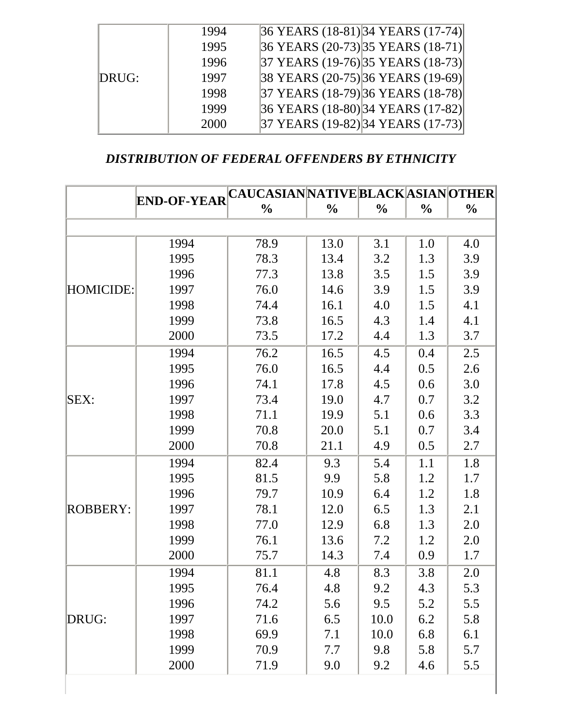|       | 1994 | 36 YEARS (18-81) 34 YEARS (17-74)                       |
|-------|------|---------------------------------------------------------|
|       | 1995 | $ 36 \text{ YEARS } (20-73) 35 \text{ YEARS } (18-71) $ |
|       | 1996 | 37 YEARS (19-76) 35 YEARS (18-73)                       |
| DRUG: | 1997 | 38 YEARS (20-75) 36 YEARS (19-69)                       |
|       | 1998 | 37 YEARS (18-79) 36 YEARS (18-78)                       |
|       | 1999 | 36 YEARS (18-80) 34 YEARS (17-82)                       |
|       | 2000 | 37 YEARS (19-82) 34 YEARS (17-73)                       |

#### *DISTRIBUTION OF FEDERAL OFFENDERS BY ETHNICITY*

|                 |                    | <b>CAUCASIAN NATIVE BLACK ASIAN OTHER</b> |               |               |               |               |
|-----------------|--------------------|-------------------------------------------|---------------|---------------|---------------|---------------|
|                 | <b>END-OF-YEAR</b> | $\frac{0}{0}$                             | $\frac{0}{0}$ | $\frac{0}{0}$ | $\frac{0}{0}$ | $\frac{0}{0}$ |
|                 |                    |                                           |               |               |               |               |
|                 | 1994               | 78.9                                      | 13.0          | 3.1           | 1.0           | 4.0           |
|                 | 1995               | 78.3                                      | 13.4          | 3.2           | 1.3           | 3.9           |
|                 | 1996               | 77.3                                      | 13.8          | 3.5           | 1.5           | 3.9           |
| HOMICIDE:       | 1997               | 76.0                                      | 14.6          | 3.9           | 1.5           | 3.9           |
|                 | 1998               | 74.4                                      | 16.1          | 4.0           | 1.5           | 4.1           |
|                 | 1999               | 73.8                                      | 16.5          | 4.3           | 1.4           | 4.1           |
|                 | 2000               | 73.5                                      | 17.2          | 4.4           | 1.3           | 3.7           |
|                 | 1994               | 76.2                                      | 16.5          | 4.5           | 0.4           | 2.5           |
|                 | 1995               | 76.0                                      | 16.5          | 4.4           | 0.5           | 2.6           |
|                 | 1996               | 74.1                                      | 17.8          | 4.5           | 0.6           | 3.0           |
| <b>SEX:</b>     | 1997               | 73.4                                      | 19.0          | 4.7           | 0.7           | 3.2           |
|                 | 1998               | 71.1                                      | 19.9          | 5.1           | 0.6           | 3.3           |
|                 | 1999               | 70.8                                      | 20.0          | 5.1           | 0.7           | 3.4           |
|                 | 2000               | 70.8                                      | 21.1          | 4.9           | 0.5           | 2.7           |
|                 | 1994               | 82.4                                      | 9.3           | 5.4           | 1.1           | 1.8           |
|                 | 1995               | 81.5                                      | 9.9           | 5.8           | 1.2           | 1.7           |
|                 | 1996               | 79.7                                      | 10.9          | 6.4           | 1.2           | 1.8           |
| <b>ROBBERY:</b> | 1997               | 78.1                                      | 12.0          | 6.5           | 1.3           | 2.1           |
|                 | 1998               | 77.0                                      | 12.9          | 6.8           | 1.3           | 2.0           |
|                 | 1999               | 76.1                                      | 13.6          | 7.2           | 1.2           | 2.0           |
|                 | 2000               | 75.7                                      | 14.3          | 7.4           | 0.9           | 1.7           |
|                 | 1994               | 81.1                                      | 4.8           | 8.3           | 3.8           | 2.0           |
|                 | 1995               | 76.4                                      | 4.8           | 9.2           | 4.3           | 5.3           |
|                 | 1996               | 74.2                                      | 5.6           | 9.5           | 5.2           | 5.5           |
| DRUG:           | 1997               | 71.6                                      | 6.5           | 10.0          | 6.2           | 5.8           |
|                 | 1998               | 69.9                                      | 7.1           | 10.0          | 6.8           | 6.1           |
|                 | 1999               | 70.9                                      | 7.7           | 9.8           | 5.8           | 5.7           |
|                 | 2000               | 71.9                                      | 9.0           | 9.2           | 4.6           | 5.5           |